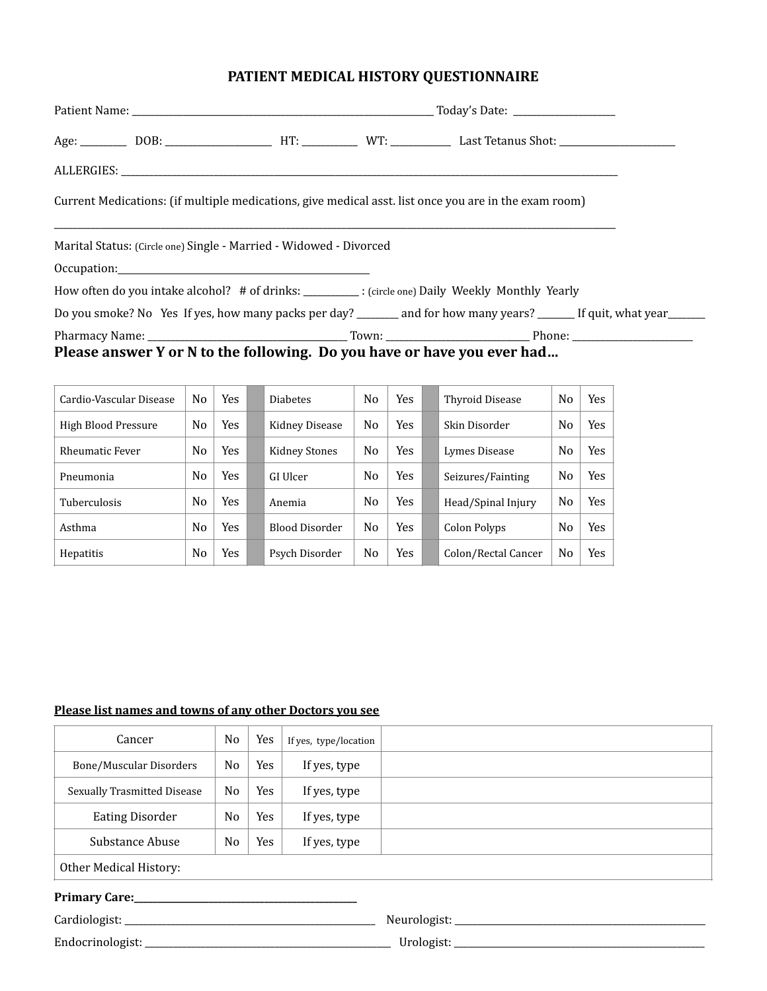## **PATIENT MEDICAL HISTORY QUESTIONNAIRE**

| Current Medications: (if multiple medications, give medical asst. list once you are in the exam room)                                                                                                                          |  |                                                                                                                       |
|--------------------------------------------------------------------------------------------------------------------------------------------------------------------------------------------------------------------------------|--|-----------------------------------------------------------------------------------------------------------------------|
| Marital Status: (Circle one) Single - Married - Widowed - Divorced                                                                                                                                                             |  |                                                                                                                       |
| Occupation: 100 million contract to the contract of the contract of the contract of the contract of the contract of the contract of the contract of the contract of the contract of the contract of the contract of the contra |  |                                                                                                                       |
| How often do you intake alcohol? # of drinks: ________: (circle one) Daily Weekly Monthly Yearly                                                                                                                               |  |                                                                                                                       |
|                                                                                                                                                                                                                                |  | Do you smoke? No Yes If yes, how many packs per day? _______ and for how many years? ______ If quit, what year ______ |
|                                                                                                                                                                                                                                |  |                                                                                                                       |
| Please answer Y or N to the following. Do you have or have you ever had                                                                                                                                                        |  |                                                                                                                       |

| Cardio-Vascular Disease | No | Yes        | <b>Diabetes</b> | No             | <b>Yes</b> | Thyroid Disease     | N <sub>0</sub> | Yes |
|-------------------------|----|------------|-----------------|----------------|------------|---------------------|----------------|-----|
| High Blood Pressure     | No | Yes.       | Kidney Disease  | No             | <b>Yes</b> | Skin Disorder       | N <sub>0</sub> | Yes |
| <b>Rheumatic Fever</b>  | No | Yes        | Kidney Stones   | N <sub>0</sub> | <b>Yes</b> | Lymes Disease       | N <sub>0</sub> | Yes |
| Pneumonia               | No | Yes        | GI Ulcer        | No             | <b>Yes</b> | Seizures/Fainting   | N <sub>0</sub> | Yes |
| <b>Tuberculosis</b>     | No | Yes        | Anemia          | No             | <b>Yes</b> | Head/Spinal Injury  | N <sub>0</sub> | Yes |
| Asthma                  | No | <b>Yes</b> | Blood Disorder  | No             | <b>Yes</b> | Colon Polyps        | N <sub>0</sub> | Yes |
| <b>Hepatitis</b>        | No | Yes        | Psych Disorder  | No             | <b>Yes</b> | Colon/Rectal Cancer | N <sub>0</sub> | Yes |

## Please list names and towns of any other Doctors you see

| Cancer<br>No.                  |                | Yes | If yes, type/location |  |
|--------------------------------|----------------|-----|-----------------------|--|
| <b>Bone/Muscular Disorders</b> | No             | Yes | If yes, type          |  |
| Sexually Trasmitted Disease    | No             | Yes | If yes, type          |  |
| <b>Eating Disorder</b>         | N <sub>0</sub> | Yes | If yes, type          |  |
| Substance Abuse                | N <sub>0</sub> | Yes | If yes, type          |  |
| Other Medical History:         |                |     |                       |  |
| <b>Primary Care:</b>           |                |     |                       |  |

| $C$ ardiologiet:                                         | $\alpha$              |
|----------------------------------------------------------|-----------------------|
| uα                                                       | N                     |
| F <sub>nd</sub><br>، با قدا<br>-------------<br>________ | Iroloa<br>UI UIUEIJU. |